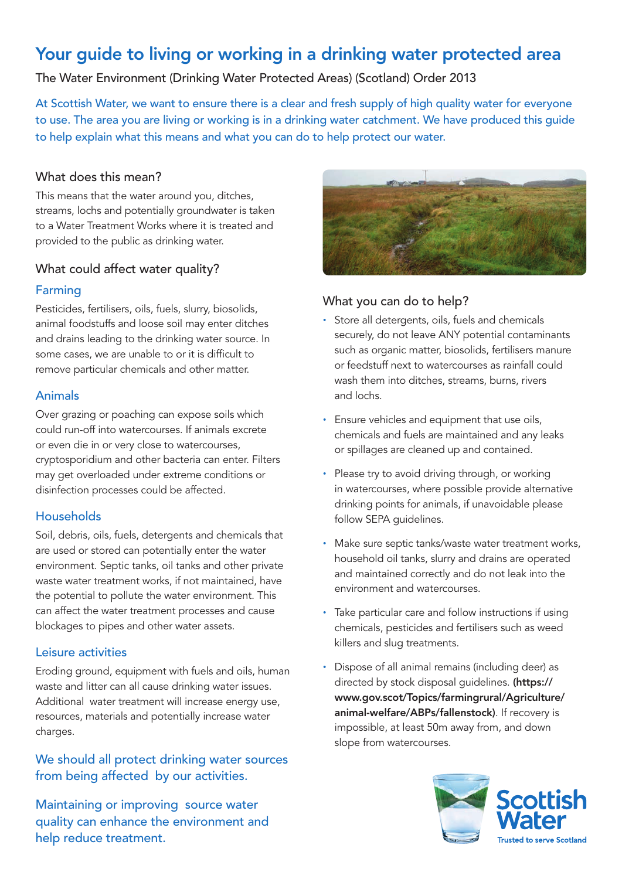# Your guide to living or working in a drinking water protected area

The Water Environment (Drinking Water Protected Areas) (Scotland) Order 2013

At Scottish Water, we want to ensure there is a clear and fresh supply of high quality water for everyone to use. The area you are living or working is in a drinking water catchment. We have produced this guide to help explain what this means and what you can do to help protect our water.

#### What does this mean?

This means that the water around you, ditches, streams, lochs and potentially groundwater is taken to a Water Treatment Works where it is treated and provided to the public as drinking water.

### What could affect water quality?

#### Farming

Pesticides, fertilisers, oils, fuels, slurry, biosolids, animal foodstuffs and loose soil may enter ditches and drains leading to the drinking water source. In some cases, we are unable to or it is difficult to remove particular chemicals and other matter.

#### Animals

Over grazing or poaching can expose soils which could run-off into watercourses. If animals excrete or even die in or very close to watercourses, cryptosporidium and other bacteria can enter. Filters may get overloaded under extreme conditions or disinfection processes could be affected.

#### **Households**

Soil, debris, oils, fuels, detergents and chemicals that are used or stored can potentially enter the water environment. Septic tanks, oil tanks and other private waste water treatment works, if not maintained, have the potential to pollute the water environment. This can affect the water treatment processes and cause blockages to pipes and other water assets.

#### Leisure activities

Eroding ground, equipment with fuels and oils, human waste and litter can all cause drinking water issues. Additional water treatment will increase energy use, resources, materials and potentially increase water charges.

## We should all protect drinking water sources from being affected by our activities.

Maintaining or improving source water quality can enhance the environment and help reduce treatment.



## What you can do to help?

- · Store all detergents, oils, fuels and chemicals securely, do not leave ANY potential contaminants such as organic matter, biosolids, fertilisers manure or feedstuff next to watercourses as rainfall could wash them into ditches, streams, burns, rivers and lochs.
- · Ensure vehicles and equipment that use oils, chemicals and fuels are maintained and any leaks or spillages are cleaned up and contained.
- · Please try to avoid driving through, or working in watercourses, where possible provide alternative drinking points for animals, if unavoidable please follow SEPA guidelines.
- · Make sure septic tanks/waste water treatment works, household oil tanks, slurry and drains are operated and maintained correctly and do not leak into the environment and watercourses.
- · Take particular care and follow instructions if using chemicals, pesticides and fertilisers such as weed killers and slug treatments.
- Dispose of all animal remains (including deer) as directed by stock disposal quidelines. (https:// www.gov.scot/Topics/farmingrural/Agriculture/ animal-welfare/ABPs/fallenstock). If recovery is impossible, at least 50m away from, and down slope from watercourses.